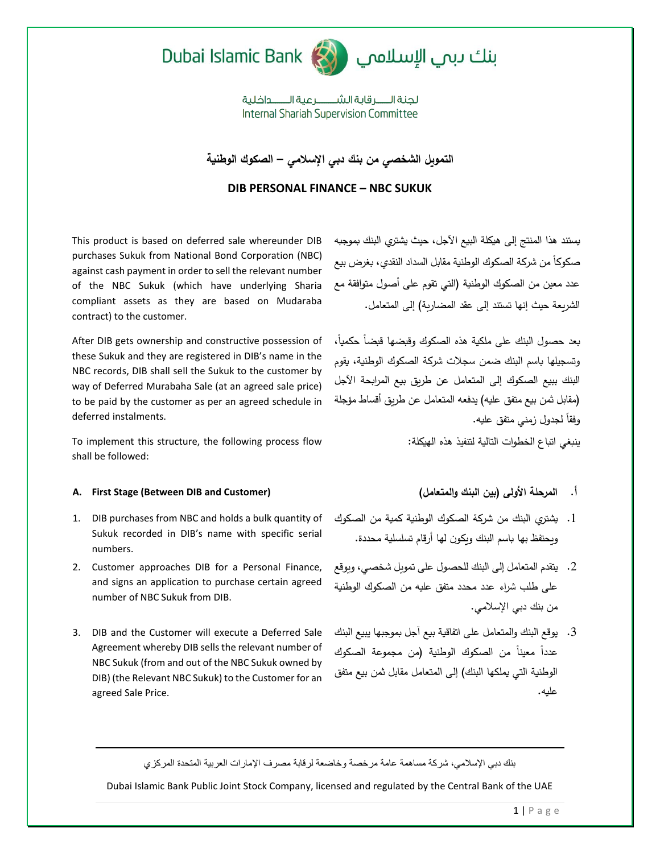



لحنة الـــــر قاية الشـــــــر عبة الـــــــداخلية **Internal Shariah Supervision Committee** 

**التمويل الشخصي من بنك دبي اإلسالمي – الصكوك الوطنية**

**DIB PERSONAL FINANCE – NBC SUKUK**

This product is based on deferred sale whereunder DIB purchases Sukuk from National Bond Corporation (NBC) against cash payment in order to sell the relevant number of the NBC Sukuk (which have underlying Sharia compliant assets as they are based on Mudaraba contract) to the customer.

After DIB gets ownership and constructive possession of these Sukuk and they are registered in DIB's name in the NBC records, DIB shall sell the Sukuk to the customer by way of Deferred Murabaha Sale (at an agreed sale price) to be paid by the customer as per an agreed schedule in deferred instalments.

To implement this structure, the following process flow shall be followed:

## **A. First Stage (Between DIB and Customer) )والمتعامل البنك بين )األولى المرحلة .أ**

- 1. DIB purchases from NBC and holds a bulk quantity of Sukuk recorded in DIB's name with specific serial numbers.
- 2. Customer approaches DIB for a Personal Finance, and signs an application to purchase certain agreed number of NBC Sukuk from DIB.
- 3. DIB and the Customer will execute a Deferred Sale Agreement whereby DIB sells the relevant number of NBC Sukuk (from and out of the NBC Sukuk owned by DIB) (the Relevant NBC Sukuk) to the Customer for an agreed Sale Price.

يستند هذا المنتج إلى هيكلة البيع اآلجل، حيث يشتري البنك بموجبه صكوكاً من شركة الصكوك الوطنية مقابل السداد النقدي، بغرض بيع عدد معين من الصكوك الوطنية )التي تقوم على أصول متوافقة مع الشريعة حيث إنها تستند إلى عقد المضاربة( إلى المتعامل.

بعد حصول البنك على ملكية هذه الصكوك وقبضها قبضاً حكمياً، وتسجيلها باسم البنك ضمن سجالت شركة الصكوك الوطنية، يقوم البنك ببيع الصكوك إلى المتعامل عن طريق بيع المرابحة اآلجل )مقابل ثمن بيع متفق عليه( يدفعه المتعامل عن طريق أقساط مؤجلة وفقاً لجدول زمني متفق عليه.

ينبغي اتباع الخطوات التالية لتنفيذ هذه الهيكلة:

- .1 يشتري البنك من شركة الصكوك الوطنية كمية من الصكوك ويحتفظ بها باسم البنك ويكون لها أرقام تسلسلية محددة.
- .2 يتقدم المتعامل إلى البنك للحصول على تمويل شخصي، ويوقع على طلب شراء عدد محدد متفق عليه من الصكوك الوطنية من بنك دبي اإلسالمي.
- .3 يوقع البنك والمتعامل على اتفاقية بيع آجل بموجبها يبيع البنك عدداً معيناً من الصكوك الوطنية (من مجموعة الصكوك الوطنية التي يملكها البنك) إلى المتعامل مقابل ثمن بيع متفق عليه.

بنك دبي اإلسالمي، شركة مساهمة عامة مرخصة وخاضعة لرقابة مصرف اإلمارات العربية المتحدة المركزي

Dubai Islamic Bank Public Joint Stock Company, licensed and regulated by the Central Bank of the UAE